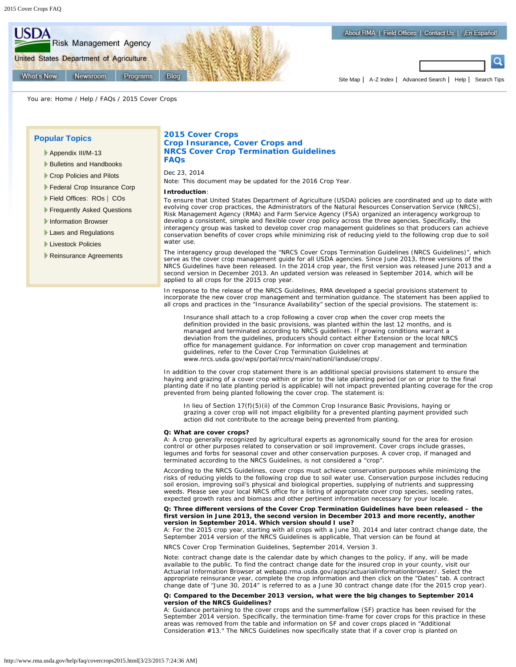

You are: [Home](http://www.rma.usda.gov/) / [Help](http://www.rma.usda.gov/help/) / [FAQs](http://www.rma.usda.gov/help/faq/) / 2015 Cover Crops

# **Popular Topics**

- [Appendix III/M-13](http://www.rma.usda.gov/data/m13/)
- [Bulletins and Handbooks](http://www.rma.usda.gov/handbooks/)
- [Crop Policies and Pilots](http://www.rma.usda.gov/policies/2015policy.html)
- [Federal Crop Insurance Corp](http://www.rma.usda.gov/fcic/)
- [Field Offices:](http://www.rma.usda.gov/aboutrma/fields/) [ROs](http://www.rma.usda.gov/aboutrma/fields/rsos.html) | [COs](http://www.rma.usda.gov/aboutrma/fields/cfos.html)
- [Frequently Asked Questions](http://www.rma.usda.gov/help/faq/index.html)
- [Information Browser](http://www.rma.usda.gov/tools/)
- **[Laws and Regulations](http://www.rma.usda.gov/regs/lawsregsindex.html)**
- **[Livestock Policies](http://www.rma.usda.gov/livestock/)**
- [Reinsurance Agreements](http://www.rma.usda.gov/pubs/ra/)

# **2015 Cover Crops Crop Insurance, Cover Crops and NRCS Cover Crop Termination Guidelines FAQs**

Dec 23, 2014

*Note: This document may be updated for the 2016 Crop Year.*

#### **Introduction**:

To ensure that United States Department of Agriculture (USDA) policies are coordinated and up to date with evolving cover crop practices, the Administrators of the Natural Resources Conservation Service (NRCS), Risk Management Agency (RMA) and Farm Service Agency (FSA) organized an interagency workgroup to develop a consistent, simple and flexible cover crop policy across the three agencies. Specifically, the interagency group was tasked to develop cover crop management guidelines so that producers can achieve conservation benefits of cover crops while minimizing risk of reducing yield to the following crop due to soil water use.

The interagency group developed the "NRCS Cover Crops Termination Guidelines (NRCS Guidelines)", which serve as the cover crop management guide for all USDA agencies. Since June 2013, three versions of the NRCS Guidelines have been released. In the 2014 crop year, the first version was released June 2013 and a second version in December 2013. An updated version was released in September 2014, which will be applied to all crops for the 2015 crop year.

In response to the release of the NRCS Guidelines, RMA developed a special provisions statement to incorporate the new cover crop management and termination guidance. The statement has been applied to all crops and practices in the "Insurance Availability" section of the special provisions. The statement is:

*Insurance shall attach to a crop following a cover crop when the cover crop meets the definition provided in the basic provisions, was planted within the last 12 months, and is managed and terminated according to NRCS guidelines. If growing conditions warrant a deviation from the guidelines, producers should contact either Extension or the local NRCS office for management guidance. For information on cover crop management and termination guidelines, refer to the Cover Crop Termination Guidelines at [www.nrcs.usda.gov/wps/portal/nrcs/main/nationl/landuse/crops/](http://www.nrcs.usda.gov/wps/portal/nrcs/main/nationl/landuse/crops/).*

In addition to the cover crop statement there is an additional special provisions statement to ensure the haying and grazing of a cover crop within or prior to the late planting period (or on or prior to the final planting date if no late planting period is applicable) will not impact prevented planting coverage for the crop prevented from being planted following the cover crop. The statement is:

*In lieu of Section 17(f)(5)(ii) of the Common Crop Insurance Basic Provisions, haying or grazing a cover crop will not impact eligibility for a prevented planting payment provided such action did not contribute to the acreage being prevented from planting.*

#### **Q: What are cover crops?**

A: A crop generally recognized by agricultural experts as agronomically sound for the area for erosion control or other purposes related to conservation or soil improvement. Cover crops include grasses, legumes and forbs for seasonal cover and other conservation purposes. A cover crop, if managed and terminated according to the NRCS Guidelines, is not considered a "crop".

According to the NRCS Guidelines, cover crops must achieve conservation purposes while minimizing the risks of reducing yields to the following crop due to soil water use. Conservation purpose includes reducing soil erosion, improving soil's physical and biological properties, supplying of nutrients and suppressing weeds. Please see your local NRCS office for a listing of appropriate cover crop species, seeding rates, expected growth rates and biomass and other pertinent information necessary for your locale.

# **Q: Three different versions of the Cover Crop Termination Guidelines have been released – the first version in June 2013, the second version in December 2013 and more recently, another version in September 2014. Which version should I use?**

A: For the 2015 crop year, starting with all crops with a June 30, 2014 and later contract change date, the September 2014 version of the NRCS Guidelines is applicable, That version can be found at

[NRCS Cover Crop Termination Guidelines, September 2014, Version 3](http://www.nrcs.usda.gov/wps/portal/nrcs/main/national/landuse/crops/).

Note: contract change date is the calendar date by which changes to the policy, if any, will be made available to the public. To find the contract change date for the insured crop in your county, visit our Actuarial Information Browser at [webapp.rma.usda.gov/apps/actuarialinformationbrowser/.](http://webapp.rma.usda.gov/apps/actuarialinformationbrowser/) Select the appropriate reinsurance year, complete the crop information and then click on the "Dates" tab. A contract change date of "June 30, 2014" is referred to as a June 30 contract change date (for the 2015 crop year).

# **Q: Compared to the December 2013 version, what were the big changes to September 2014 version of the NRCS Guidelines?**

A: Guidance pertaining to the cover crops and the summerfallow (SF) practice has been revised for the September 2014 version. Specifically, the termination time-frame for cover crops for this practice in these areas was removed from the table and information on SF and cover crops placed in "Additional Consideration #13." The NRCS Guidelines now specifically state that if a cover crop is planted on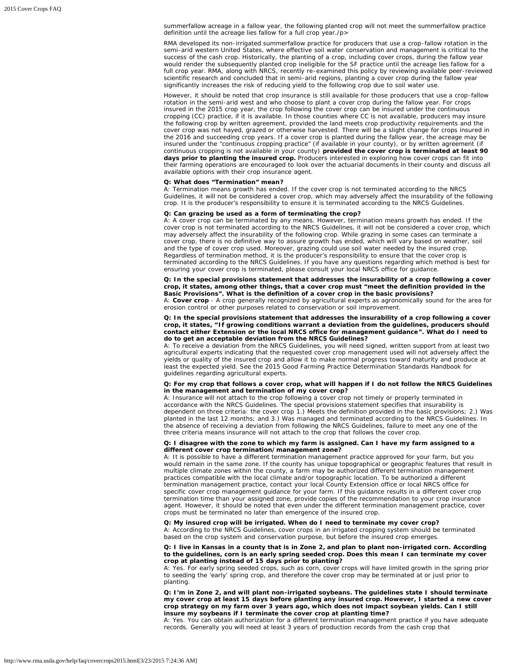summerfallow acreage in a fallow year, the following planted crop will not meet the summerfallow practice definition until the acreage lies fallow for a full crop year./p>

RMA developed its non-irrigated summerfallow practice for producers that use a crop-fallow rotation in the semi-arid western United States, where effective soil water conservation and management is critical to the success of the cash crop. Historically, the planting of a crop, including cover crops, during the fallow year would render the subsequently planted crop ineligible for the SF practice until the acreage lies fallow for a full crop year. RMA, along with NRCS, recently re-examined this policy by reviewing available peer-reviewed scientific research and concluded that in semi-arid regions, planting a cover crop during the fallow year significantly increases the risk of reducing yield to the following crop due to soil water use.

However, it should be noted that crop insurance is still available for those producers that use a crop-fallow rotation in the semi-arid west and who choose to plant a cover crop during the fallow year. For crops insured in the 2015 crop year, the crop following the cover crop can be insured under the continuous cropping (CC) practice, if it is available. In those counties where CC is not available, producers may insure the following crop by written agreement, provided the land meets crop productivity requirements and the cover crop was not hayed, grazed or otherwise harvested. There will be a slight change for crops insured in the 2016 and succeeding crop years. If a cover crop is planted during the fallow year, the acreage may be insured under the "continuous cropping practice" (if available in your county), or by written agreement (if continuous cropping is not available in your county) **provided the cover crop is terminated at least 90 days prior to planting the insured crop.** Producers interested in exploring how cover crops can fit into their farming operations are encouraged to look over the actuarial documents in their county and discuss all available options with their crop insurance agent.

#### **Q: What does "Termination" mean?**

A: Termination means growth has ended. If the cover crop is not terminated according to the NRCS Guidelines, it will not be considered a cover crop, which may adversely affect the insurability of the following crop. It is the producer's responsibility to ensure it is terminated according to the NRCS Guidelines.

# **Q: Can grazing be used as a form of terminating the crop?**

A: A cover crop can be terminated by any means. However, termination means growth has ended. If the cover crop is not terminated according to the NRCS Guidelines, it will not be considered a cover crop, which may adversely affect the insurability of the following crop. While grazing in some cases can terminate a cover crop, there is no definitive way to assure growth has ended, which will vary based on weather, soil and the type of cover crop used. Moreover, grazing could use soil water needed by the insured crop. Regardless of termination method, it is the producer's responsibility to ensure that the cover crop is terminated according to the NRCS Guidelines. If you have any questions regarding which method is best for ensuring your cover crop is terminated, please consult your local NRCS office for guidance.

## **Q: In the special provisions statement that addresses the insurability of a crop following a cover crop, it states, among other things, that a cover crop must** *"meet the definition provided in the Basic Provisions***". What is the definition of a cover crop in the basic provisions?**

A: **Cover crop** - A crop generally recognized by agricultural experts as agronomically sound for the area for erosion control or other purposes related to conservation or soil improvement.

# **Q: In the special provisions statement that addresses the insurability of a crop following a cover crop, it states, "***If growing conditions warrant a deviation from the guidelines, producers should contact either Extension or the local NRCS office for management guidance***". What do I need to do to get an acceptable deviation from the NRCS Guidelines?**

A: To receive a deviation from the NRCS Guidelines, you will need signed, written support from at least two agricultural experts indicating that the requested cover crop management used will not adversely affect the yields or quality of the insured crop and allow it to make normal progress toward maturity and produce at least the expected yield. See the [2015 Good Farming Practice Determination Standards Handbook](http://www.rma.usda.gov/handbooks/14000/) for guidelines regarding agricultural experts.

#### **Q: For my crop that follows a cover crop, what will happen if I do not follow the NRCS Guidelines in the management and termination of my cover crop?**

A: Insurance will not attach to the crop following a cover crop not timely or properly terminated in accordance with the NRCS Guidelines. The special provisions statement specifies that insurability is dependent on three criteria: the cover crop 1.) Meets the definition provided in the basic provisions; 2.) Was planted in the last 12 months; and 3.) Was managed and terminated according to the NRCS Guidelines. In the absence of receiving a deviation from following the NRCS Guidelines, failure to meet any one of the three criteria means insurance will not attach to the crop that follows the cover crop.

# **Q: I disagree with the zone to which my farm is assigned. Can I have my farm assigned to a different cover crop termination/management zone?**

A: It is possible to have a different termination management practice approved for your farm, but you would remain in the same zone. If the county has unique topographical or geographic features that result in multiple climate zones within the county, a farm may be authorized different termination management practices compatible with the local climate and/or topographic location. To be authorized a different termination management practice, contact your local County Extension office or local NRCS office for specific cover crop management guidance for your farm. If this guidance results in a different cover crop termination time than your assigned zone, provide copies of the recommendation to your crop insurance agent. However, it should be noted that even under the different termination management practice, cover crops must be terminated no later than emergence of the insured crop.

# **Q: My insured crop will be irrigated. When do I need to terminate my cover crop?**

A: According to the NRCS Guidelines, cover crops in an irrigated cropping system should be terminated based on the crop system and conservation purpose, but before the insured crop emerges.

#### **Q: I live in Kansas in a county that is in Zone 2, and plan to plant non-irrigated corn. According to the guidelines, corn is an early spring seeded crop. Does this mean I can terminate my cover crop at planting instead of 15 days prior to planting?**

A: Yes. For early spring seeded crops, such as corn, cover crops will have limited growth in the spring prior to seeding the 'early' spring crop, and therefore the cover crop may be terminated at or just prior to planting.

**Q: I'm in Zone 2, and will plant non-irrigated soybeans. The guidelines state I should terminate my cover crop at least 15 days before planting any insured crop. However, I started a new cover crop strategy on my farm over 3 years ago, which does not impact soybean yields. Can I still insure my soybeans if I terminate the cover crop at planting time?**

A: Yes. You can obtain authorization for a different termination management practice if you have adequate records. Generally you will need at least 3 years of production records from the cash crop that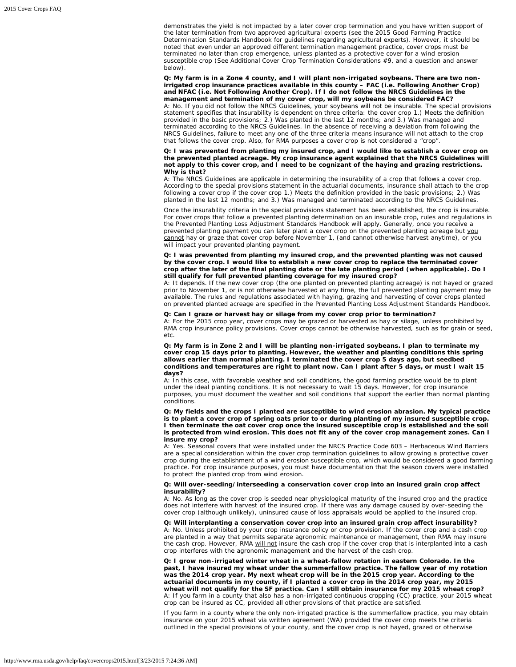demonstrates the yield is not impacted by a later cover crop termination and you have written support of the later termination from two approved agricultural experts (see the [2015 Good Farming Practice](http://www.rma.usda.gov/handbooks/14000/) [Determination Standards Handbook](http://www.rma.usda.gov/handbooks/14000/) for guidelines regarding agricultural experts). However, it should be noted that even under an approved different termination management practice, cover crops must be terminated no later than crop emergence, unless planted as a protective cover for a wind erosion susceptible crop (See Additional Cover Crop Termination Considerations #9, and a question and answer below).

# **Q: My farm is in a Zone 4 county, and I will plant non-irrigated soybeans. There are two nonirrigated crop insurance practices available in this county – FAC (i.e. Following Another Crop) and NFAC (i.e. Not Following Another Crop). If I do not follow the NRCS Guidelines in the management and termination of my cover crop, will my soybeans be considered FAC?**

A: No. If you did not follow the NRCS Guidelines, your soybeans will not be insurable. The special provisions statement specifies that insurability is dependent on three criteria: the cover crop 1.) Meets the definition provided in the basic provisions; 2.) Was planted in the last 12 months; and 3.) Was managed and terminated according to the NRCS Guidelines. In the absence of receiving a deviation from following the NRCS Guidelines, failure to meet any one of the three criteria means insurance will not attach to the crop that follows the cover crop. Also, for RMA purposes a cover crop is not considered a "crop".

# **Q: I was prevented from planting my insured crop, and I would like to establish a cover crop on the prevented planted acreage. My crop insurance agent explained that the NRCS Guidelines will not apply to this cover crop, and I need to be cognizant of the haying and grazing restrictions. Why is that?**

A: The NRCS Guidelines are applicable in determining the insurability of a crop that follows a cover crop. According to the special provisions statement in the actuarial documents, insurance shall attach to the crop following a cover crop if the cover crop 1.) Meets the definition provided in the basic provisions; 2.) Was planted in the last 12 months; and 3.) Was managed and terminated according to the NRCS Guidelines.

Once the insurability criteria in the special provisions statement has been established, the crop is insurable. For cover crops that follow a prevented planting determination on an insurable crop, rules and regulations in the Prevented Planting Loss Adjustment Standards Handbook will apply. Generally, once you receive a prevented planting payment you can later plant a cover crop on the prevented planting acreage but you cannot hay or graze that cover crop before November 1, (and cannot otherwise harvest anytime), or you will impact your prevented planting payment.

## **Q: I was prevented from planting my insured crop, and the prevented planting was not caused by the cover crop. I would like to establish a new cover crop to replace the terminated cover crop after the later of the final planting date or the late planting period (when applicable). Do I still qualify for full prevented planting coverage for my insured crop?**

A: It depends. If the new cover crop (the one planted on prevented planting acreage) is not hayed or grazed prior to November 1, or is not otherwise harvested at any time, the full prevented planting payment may be available. The rules and regulations associated with haying, grazing and harvesting of cover crops planted on prevented planted acreage are specified in the Prevented Planting Loss Adjustment Standards Handbook.

# **Q: Can I graze or harvest hay or silage from my cover crop prior to termination?**

A: For the 2015 crop year, cover crops may be grazed or harvested as hay or silage, unless prohibited by RMA crop insurance policy provisions. Cover crops cannot be otherwise harvested, such as for grain or seed, etc.

**Q: My farm is in Zone 2 and I will be planting non-irrigated soybeans. I plan to terminate my cover crop 15 days prior to planting. However, the weather and planting conditions this spring allows earlier than normal planting. I terminated the cover crop 5 days ago, but seedbed conditions and temperatures are right to plant now. Can I plant after 5 days, or must I wait 15 days?**

A: In this case, with favorable weather and soil conditions, the good farming practice would be to plant under the ideal planting conditions. It is not necessary to wait 15 days. However, for crop insurance purposes, you must document the weather and soil conditions that support the earlier than normal planting conditions.

## **Q: My fields and the crops I planted are susceptible to wind erosion abrasion. My typical practice is to plant a cover crop of spring oats prior to or during planting of my insured susceptible crop. I then terminate the oat cover crop once the insured susceptible crop is established and the soil is protected from wind erosion. This does not fit any of the cover crop management zones. Can I insure my crop?**

A: Yes. Seasonal covers that were installed under the NRCS Practice Code 603 – Herbaceous Wind Barriers are a special consideration within the cover crop termination guidelines to allow growing a protective cover crop during the establishment of a wind erosion susceptible crop, which would be considered a good farming practice. For crop insurance purposes, you must have documentation that the season covers were installed to protect the planted crop from wind erosion.

# **Q: Will over-seeding/interseeding a conservation cover crop into an insured grain crop affect insurability?**

A: No. As long as the cover crop is seeded near physiological maturity of the insured crop and the practice does not interfere with harvest of the insured crop. If there was any damage caused by over-seeding the cover crop (although unlikely), uninsured cause of loss appraisals would be applied to the insured crop.

# **Q: Will interplanting a conservation cover crop into an insured grain crop affect insurability?**

A: No. Unless prohibited by your crop insurance policy or crop provision. If the cover crop and a cash crop are planted in a way that permits separate agronomic maintenance or management, then RMA may insure the cash crop. However, RMA will not insure the cash crop if the cover crop that is interplanted into a cash crop interferes with the agronomic management and the harvest of the cash crop.

**Q: I grow non-irrigated winter wheat in a wheat-fallow rotation in eastern Colorado. In the past, I have insured my wheat under the summerfallow practice. The fallow year of my rotation was the 2014 crop year. My next wheat crop will be in the 2015 crop year. According to the actuarial documents in my county, if I planted a cover crop in the 2014 crop year, my 2015 wheat will not qualify for the SF practice. Can I still obtain insurance for my 2015 wheat crop?** A: If you farm in a county that also has a non-irrigated continuous cropping (CC) practice, your 2015 wheat crop can be insured as CC, provided all other provisions of that practice are satisfied.

If you farm in a county where the only non-irrigated practice is the summerfallow practice, you may obtain insurance on your 2015 wheat via written agreement (WA) provided the cover crop meets the criteria outlined in the special provisions of your county, and the cover crop is not hayed, grazed or otherwise